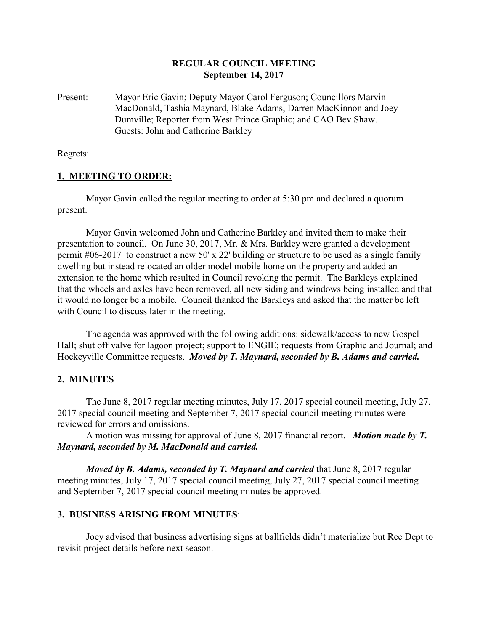## **REGULAR COUNCIL MEETING September 14, 2017**

Present: Mayor Eric Gavin; Deputy Mayor Carol Ferguson; Councillors Marvin MacDonald, Tashia Maynard, Blake Adams, Darren MacKinnon and Joey Dumville; Reporter from West Prince Graphic; and CAO Bev Shaw. Guests: John and Catherine Barkley

Regrets:

## **1. MEETING TO ORDER:**

Mayor Gavin called the regular meeting to order at 5:30 pm and declared a quorum present.

Mayor Gavin welcomed John and Catherine Barkley and invited them to make their presentation to council. On June 30, 2017, Mr. & Mrs. Barkley were granted a development permit #06-2017 to construct a new 50' x 22' building or structure to be used as a single family dwelling but instead relocated an older model mobile home on the property and added an extension to the home which resulted in Council revoking the permit. The Barkleys explained that the wheels and axles have been removed, all new siding and windows being installed and that it would no longer be a mobile. Council thanked the Barkleys and asked that the matter be left with Council to discuss later in the meeting.

The agenda was approved with the following additions: sidewalk/access to new Gospel Hall; shut off valve for lagoon project; support to ENGIE; requests from Graphic and Journal; and Hockeyville Committee requests. *Moved by T. Maynard, seconded by B. Adams and carried.*

# **2. MINUTES**

The June 8, 2017 regular meeting minutes, July 17, 2017 special council meeting, July 27, 2017 special council meeting and September 7, 2017 special council meeting minutes were reviewed for errors and omissions.

A motion was missing for approval of June 8, 2017 financial report. *Motion made by T. Maynard, seconded by M. MacDonald and carried.*

*Moved by B. Adams, seconded by T. Maynard and carried* that June 8, 2017 regular meeting minutes, July 17, 2017 special council meeting, July 27, 2017 special council meeting and September 7, 2017 special council meeting minutes be approved.

#### **3. BUSINESS ARISING FROM MINUTES**:

Joey advised that business advertising signs at ballfields didn't materialize but Rec Dept to revisit project details before next season.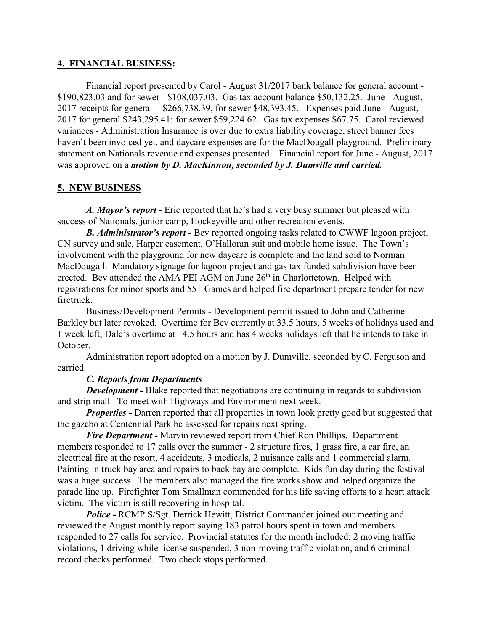#### **4. FINANCIAL BUSINESS:**

Financial report presented by Carol - August 31/2017 bank balance for general account - \$190,823.03 and for sewer - \$108,037.03. Gas tax account balance \$50,132.25. June - August, 2017 receipts for general - \$266,738.39, for sewer \$48,393.45. Expenses paid June - August, 2017 for general \$243,295.41; for sewer \$59,224.62. Gas tax expenses \$67.75. Carol reviewed variances - Administration Insurance is over due to extra liability coverage, street banner fees haven't been invoiced yet, and daycare expenses are for the MacDougall playground. Preliminary statement on Nationals revenue and expenses presented. Financial report for June - August, 2017 was approved on a *motion by D. MacKinnon, seconded by J. Dumville and carried.*

## **5. NEW BUSINESS**

*A. Mayor's report* - Eric reported that he's had a very busy summer but pleased with success of Nationals, junior camp, Hockeyville and other recreation events.

*B. Administrator's report -* Bev reported ongoing tasks related to CWWF lagoon project, CN survey and sale, Harper easement, O'Halloran suit and mobile home issue. The Town's involvement with the playground for new daycare is complete and the land sold to Norman MacDougall. Mandatory signage for lagoon project and gas tax funded subdivision have been erected. Bev attended the AMA PEI AGM on June 26<sup>th</sup> in Charlottetown. Helped with registrations for minor sports and 55+ Games and helped fire department prepare tender for new firetruck.

Business/Development Permits - Development permit issued to John and Catherine Barkley but later revoked. Overtime for Bev currently at 33.5 hours, 5 weeks of holidays used and 1 week left; Dale's overtime at 14.5 hours and has 4 weeks holidays left that he intends to take in October.

Administration report adopted on a motion by J. Dumville, seconded by C. Ferguson and carried.

#### *C. Reports from Departments*

*Development* - Blake reported that negotiations are continuing in regards to subdivision and strip mall. To meet with Highways and Environment next week.

*Properties* - Darren reported that all properties in town look pretty good but suggested that the gazebo at Centennial Park be assessed for repairs next spring.

*Fire Department -* Marvin reviewed report from Chief Ron Phillips. Department members responded to 17 calls over the summer - 2 structure fires, 1 grass fire, a car fire, an electrical fire at the resort, 4 accidents, 3 medicals, 2 nuisance calls and 1 commercial alarm. Painting in truck bay area and repairs to back bay are complete. Kids fun day during the festival was a huge success. The members also managed the fire works show and helped organize the parade line up. Firefighter Tom Smallman commended for his life saving efforts to a heart attack victim. The victim is still recovering in hospital.

*Police -* RCMP S/Sgt. Derrick Hewitt, District Commander joined our meeting and reviewed the August monthly report saying 183 patrol hours spent in town and members responded to 27 calls for service. Provincial statutes for the month included: 2 moving traffic violations, 1 driving while license suspended, 3 non-moving traffic violation, and 6 criminal record checks performed. Two check stops performed.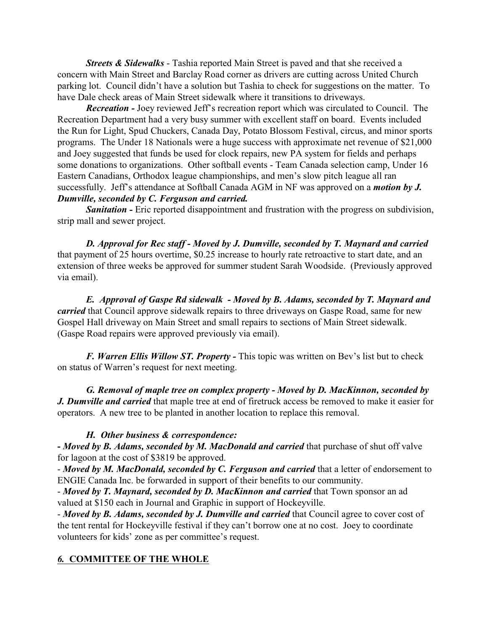*Streets & Sidewalks* - Tashia reported Main Street is paved and that she received a concern with Main Street and Barclay Road corner as drivers are cutting across United Church parking lot. Council didn't have a solution but Tashia to check for suggestions on the matter. To have Dale check areas of Main Street sidewalk where it transitions to driveways.

*Recreation -* Joey reviewed Jeff's recreation report which was circulated to Council. The Recreation Department had a very busy summer with excellent staff on board. Events included the Run for Light, Spud Chuckers, Canada Day, Potato Blossom Festival, circus, and minor sports programs. The Under 18 Nationals were a huge success with approximate net revenue of \$21,000 and Joey suggested that funds be used for clock repairs, new PA system for fields and perhaps some donations to organizations. Other softball events - Team Canada selection camp, Under 16 Eastern Canadians, Orthodox league championships, and men's slow pitch league all ran successfully. Jeff's attendance at Softball Canada AGM in NF was approved on a *motion by J. Dumville, seconded by C. Ferguson and carried.*

*Sanitation -* Eric reported disappointment and frustration with the progress on subdivision, strip mall and sewer project.

*D. Approval for Rec staff - Moved by J. Dumville, seconded by T. Maynard and carried* that payment of 25 hours overtime, \$0.25 increase to hourly rate retroactive to start date, and an extension of three weeks be approved for summer student Sarah Woodside. (Previously approved via email).

*E. Approval of Gaspe Rd sidewalk - Moved by B. Adams, seconded by T. Maynard and carried* that Council approve sidewalk repairs to three driveways on Gaspe Road, same for new Gospel Hall driveway on Main Street and small repairs to sections of Main Street sidewalk. (Gaspe Road repairs were approved previously via email).

*F. Warren Ellis Willow ST. Property -* This topic was written on Bev's list but to check on status of Warren's request for next meeting.

*G. Removal of maple tree on complex property - Moved by D. MacKinnon, seconded by J. Dumville and carried* that maple tree at end of firetruck access be removed to make it easier for operators. A new tree to be planted in another location to replace this removal.

# *H. Other business & correspondence:*

**-** *Moved by B. Adams, seconded by M. MacDonald and carried* that purchase of shut off valve for lagoon at the cost of \$3819 be approved.

- *Moved by M. MacDonald, seconded by C. Ferguson and carried* that a letter of endorsement to ENGIE Canada Inc. be forwarded in support of their benefits to our community.

- *Moved by T. Maynard, seconded by D. MacKinnon and carried* that Town sponsor an ad valued at \$150 each in Journal and Graphic in support of Hockeyville.

- *Moved by B. Adams, seconded by J. Dumville and carried* that Council agree to cover cost of the tent rental for Hockeyville festival if they can't borrow one at no cost. Joey to coordinate volunteers for kids' zone as per committee's request.

# *6.* **COMMITTEE OF THE WHOLE**